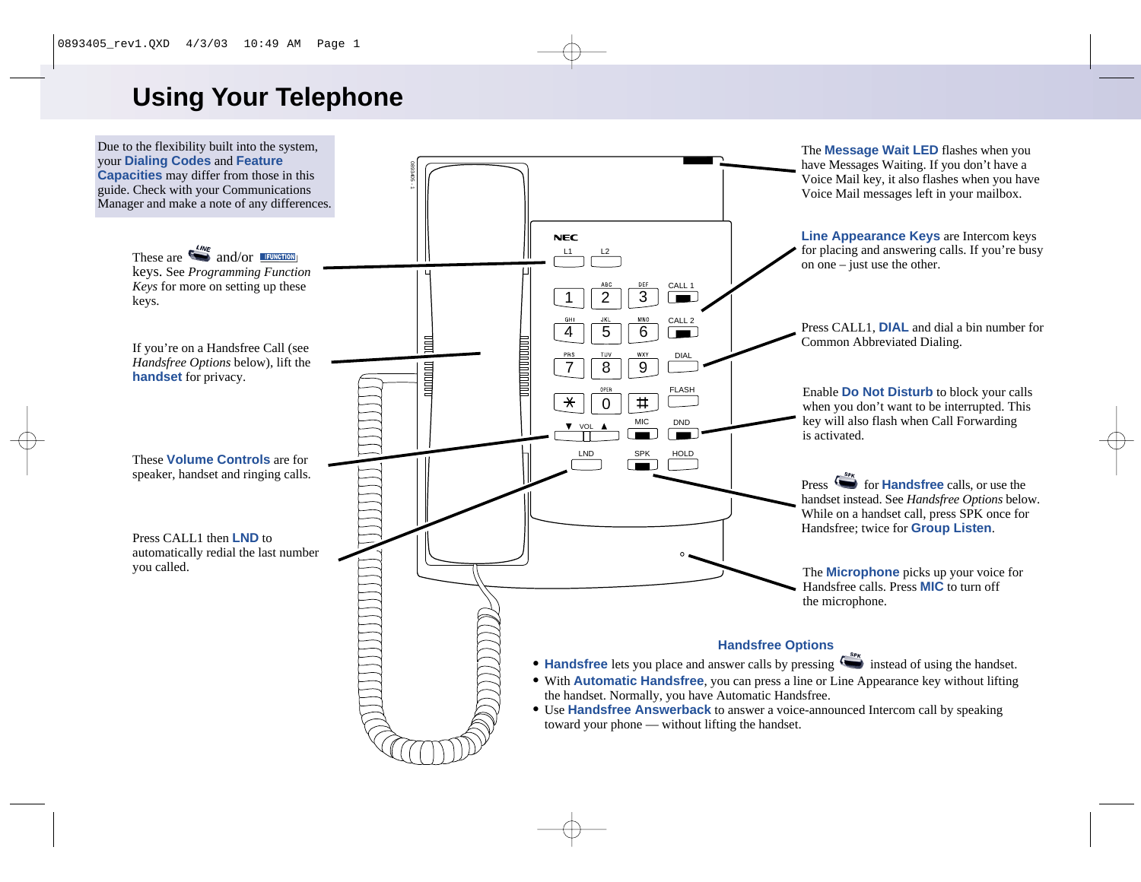# **Using Your Telephone**

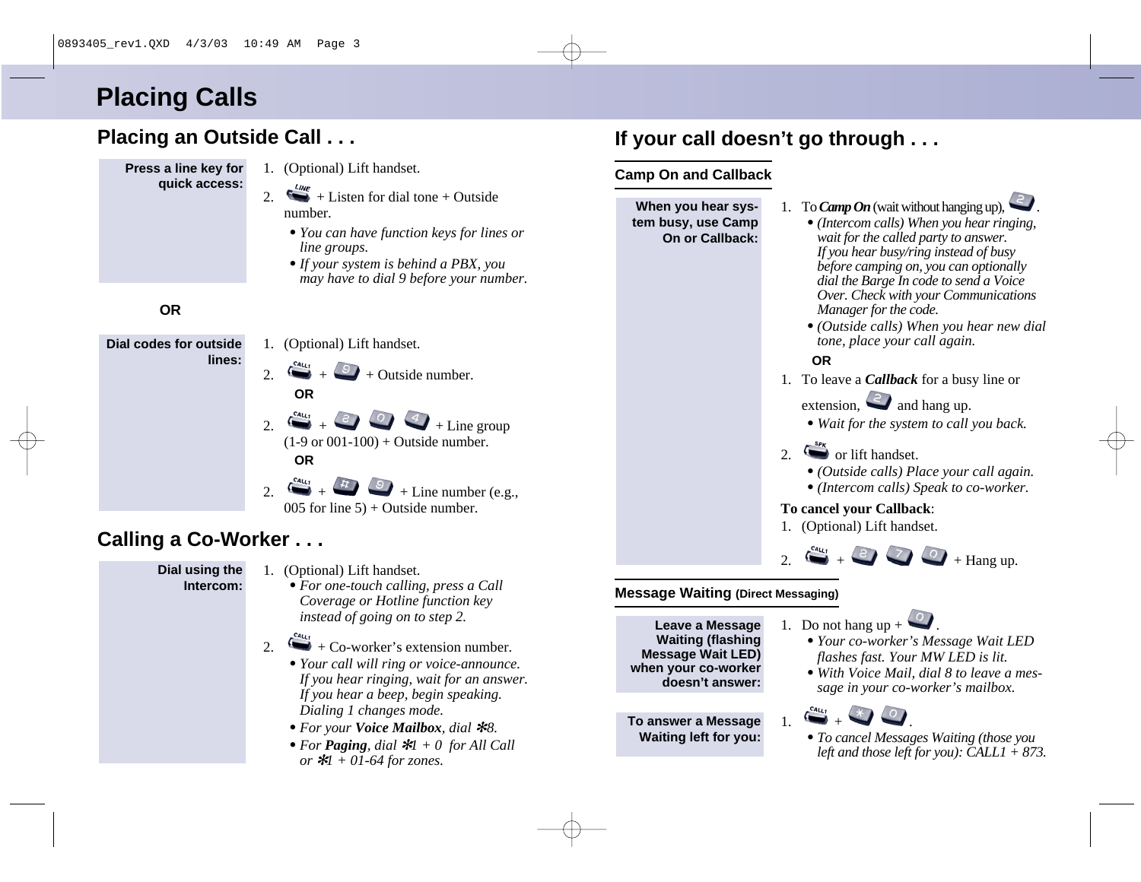# **Placing Calls**

### **Placing an Outside Call . . .**



### **Calling a Co-Worker . . .**

#### **Dial using the Intercom:**

- 1. (Optional) Lift handset.
	- *• For one-touch calling, press a Call Coverage or Hotline function key instead of going on to step 2.*

#### 2.  $\leftrightarrow$  + Co-worker's extension number.

- *• Your call will ring or voice-announce. If you hear ringing, wait for an answer. If you hear a beep, begin speaking. Dialing 1 changes mode.*
- *• For your Voice Mailbox, dial*  ✻*8.*
- *• For Paging, dial*  ✻*1 + 0 for All Call or*  ✻*1 + 01-64 for zones.*

## **If your call doesn't go through . . .**

#### **Camp On and Callback**



**Leave a Message Waiting (flashing Message Wait LED) when your co-worker doesn't answer:**

**To answer a Message Waiting left for you:**

- 1. Do not hang  $up + \bullet$ 
	- *• Your co-worker's Message Wait LED flashes fast. Your MW LED is lit.*
	- *• With Voice Mail, dial 8 to leave a message in your co-worker's mailbox.*



*• To cancel Messages Waiting (those you left and those left for you): CALL1 + 873.*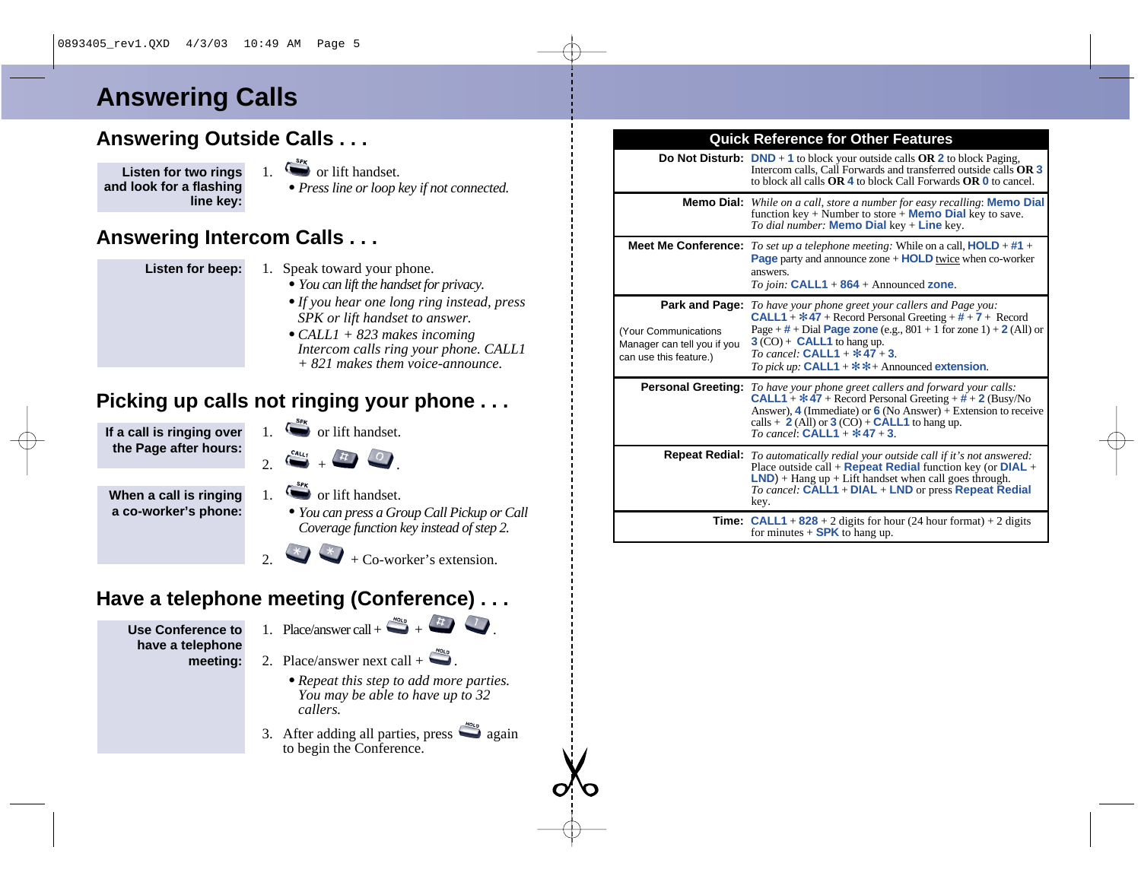# **Answering Calls**

#### **Answering Outside Calls . . .**

**Listen for two rings and look for a flashing line key:**

- $\overline{\mathcal{L}}$  or lift handset.
- *• Press line or loop key if not connected.*

#### **Answering Intercom Calls . . .**

**Listen for beep:**

- 1. Speak toward your phone.
	- *• You can lift the handset for privacy.*
	- *•If you hear one long ring instead, press SPK or lift handset to answer.*
	- *• CALL1 + 823 makes incoming Intercom calls ring your phone. CALL1 + 821 makes them voice-announce.*

### **Picking up calls not ringing your phone . . .**

**If a call is ringing over the Page after hours:**

- 1.  $\sum_{n=1}^{\text{SPR}}$  or lift handset.
- $2. 64u_1 + 4. 0.$

**When a call is ringing a co-worker's phone:**

- 
- 1.  $\bullet$  or lift handset.
	- *• You can press a Group Call Pickup or Call Coverage function key instead of step 2.*

 $\star$  + Co-worker's extension.

### **Have a telephone meeting (Conference) . . .**

**Use Conference to have a telephone meeting:**

- 1. Place/answer call +  $\frac{H_0 I_0}{H_0}$  +  $\frac{H_1}{H_1}$  .
	-
- 2. Place/answer next call  $+$ 
	- *• Repeat this step to add more parties. You may be able to have up to 32 callers.*
- 3. After adding all parties, press  $\Box$  again to begin the Conference.

#### **Quick Reference for Other Features**

|                                                                                                | <b>Do Not Disturb:</b> DND + 1 to block your outside calls OR 2 to block Paging,<br>Intercom calls, Call Forwards and transferred outside calls OR 3<br>to block all calls <b>OR 4</b> to block Call Forwards <b>OR 0</b> to cancel.                                                                                                   |
|------------------------------------------------------------------------------------------------|----------------------------------------------------------------------------------------------------------------------------------------------------------------------------------------------------------------------------------------------------------------------------------------------------------------------------------------|
|                                                                                                | <b>Memo Dial:</b> While on a call, store a number for easy recalling: <b>Memo Dial</b><br>function key + Number to store + <b>Memo Dial</b> key to save.<br><i>To dial number:</i> <b>Memo Dial</b> key + <b>Line</b> key.                                                                                                             |
| <b>Meet Me Conference:</b>                                                                     | To set up a telephone meeting: While on a call, $HOLD + #1 +$<br><b>Page</b> party and announce zone $+$ <b>HOLD</b> twice when co-worker<br>answers.<br>To join: $CALL1 + 864 + Announced zone$ .                                                                                                                                     |
| Park and Page:<br>Your Communications<br>Manager can tell you if you<br>can use this feature.) | To have your phone greet your callers and Page you:<br><b>CALL1</b> + $*$ 47 + Record Personal Greeting + $#$ + 7 + Record<br>Page + $\#$ + Dial Page zone (e.g., 801 + 1 for zone 1) + 2 (All) or<br>$3 (CO) + CALL1$ to hang up.<br>To cancel: $CALL1 + * 47 + 3$<br>To pick up: $CALL1 + * * +$ Announced extension.                |
|                                                                                                | <b>Personal Greeting:</b> To have your phone greet callers and forward your calls:<br><b>CALL1</b> + $*$ 47 + Record Personal Greeting + $#$ + 2 (Busy/No<br>Answer), 4 (Immediate) or 6 (No Answer) + Extension to receive<br>calls $+ 2$ (All) or 3 (CO) + <b>CALL1</b> to hang up.<br><i>To cancel</i> : <b>CALL1</b> + $*$ 47 + 3. |
|                                                                                                | Repeat Redial: To automatically redial your outside call if it's not answered:<br>Place outside call + <b>Repeat Redial</b> function key (or $DIAL +$<br>$LND$ + Hang up + Lift handset when call goes through.<br>To cancel: CALL1 + DIAL + LND or press Repeat Redial<br>key.                                                        |
|                                                                                                | <b>Time:</b> CALL1 + $828 + 2$ digits for hour (24 hour format) + 2 digits<br>for minutes $+$ <b>SPK</b> to hang up.                                                                                                                                                                                                                   |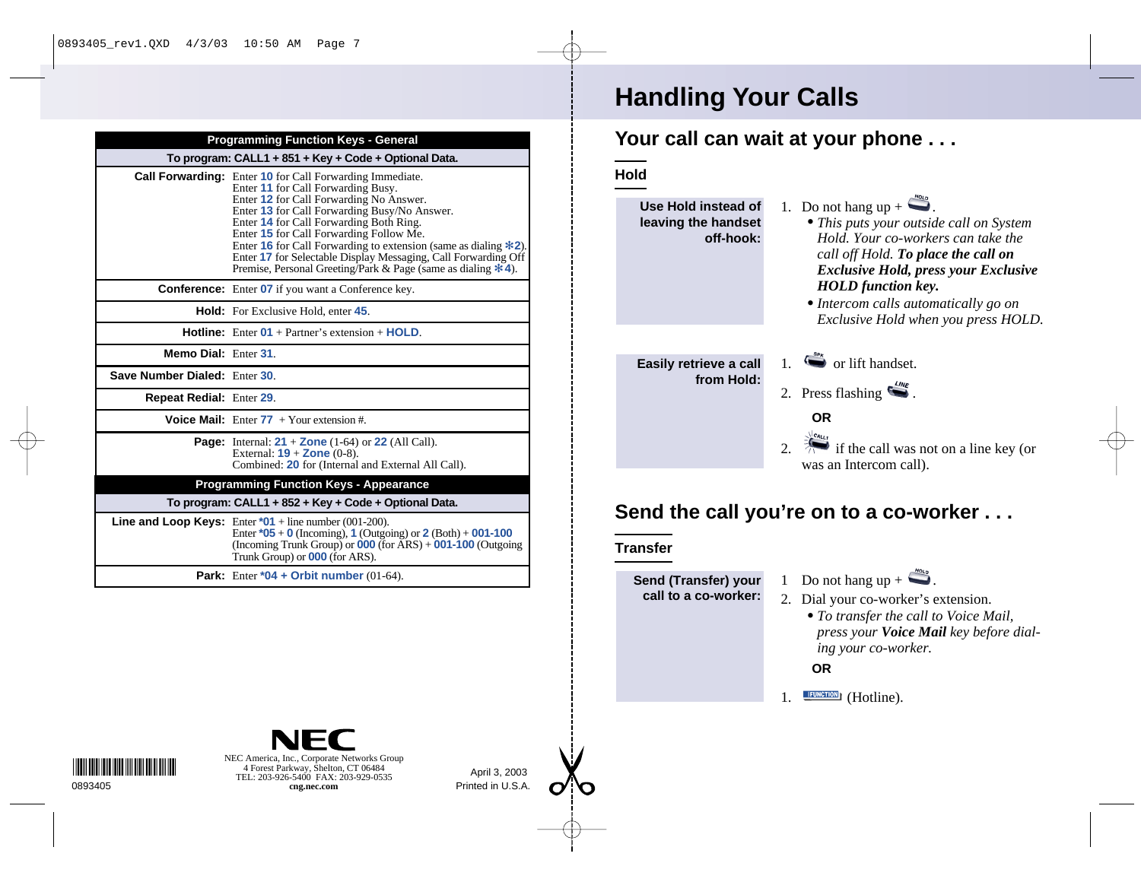| To program: CALL1 + 851 + Key + Code + Optional Data. |                                                                                                                                                                                                                                                                                                                                                                                                                                                                                                      |
|-------------------------------------------------------|------------------------------------------------------------------------------------------------------------------------------------------------------------------------------------------------------------------------------------------------------------------------------------------------------------------------------------------------------------------------------------------------------------------------------------------------------------------------------------------------------|
|                                                       | <b>Call Forwarding:</b> Enter 10 for Call Forwarding Immediate.<br>Enter 11 for Call Forwarding Busy.<br>Enter 12 for Call Forwarding No Answer.<br>Enter 13 for Call Forwarding Busy/No Answer.<br>Enter 14 for Call Forwarding Both Ring.<br>Enter 15 for Call Forwarding Follow Me.<br>Enter 16 for Call Forwarding to extension (same as dialing $\ast$ 2).<br>Enter 17 for Selectable Display Messaging, Call Forwarding Off<br>Premise, Personal Greeting/Park & Page (same as dialing $*$ 4). |
|                                                       | <b>Conference:</b> Enter 07 if you want a Conference key.                                                                                                                                                                                                                                                                                                                                                                                                                                            |
|                                                       | <b>Hold:</b> For Exclusive Hold, enter 45.                                                                                                                                                                                                                                                                                                                                                                                                                                                           |
|                                                       | <b>Hotline:</b> Enter $01 +$ Partner's extension $+$ <b>HOLD</b> .                                                                                                                                                                                                                                                                                                                                                                                                                                   |
| Memo Dial: Enter 31                                   |                                                                                                                                                                                                                                                                                                                                                                                                                                                                                                      |
| Save Number Dialed: Enter 30                          |                                                                                                                                                                                                                                                                                                                                                                                                                                                                                                      |
| <b>Repeat Redial: Enter 29.</b>                       |                                                                                                                                                                                                                                                                                                                                                                                                                                                                                                      |
|                                                       | <b>Voice Mail:</b> Enter $77 +$ Your extension #.                                                                                                                                                                                                                                                                                                                                                                                                                                                    |
|                                                       | <b>Page:</b> Internal: $21 + \text{Zone}$ (1-64) or 22 (All Call).<br>External: $19 + \text{Zone } (0-8)$ .<br>Combined: 20 for (Internal and External All Call).                                                                                                                                                                                                                                                                                                                                    |
|                                                       | <b>Programming Function Keys - Appearance</b>                                                                                                                                                                                                                                                                                                                                                                                                                                                        |
|                                                       | To program: CALL1 + 852 + Key + Code + Optional Data.                                                                                                                                                                                                                                                                                                                                                                                                                                                |
|                                                       | <b>Line and Loop Keys:</b> Enter $*01$ + line number (001-200).<br>Enter $*05 + 0$ (Incoming), 1 (Outgoing) or 2 (Both) + 001-100<br>(Incoming Trunk Group) or $000$ (for $\overline{A}RS$ ) + $001-100$ (Outgoing<br>Trunk Group) or <b>000</b> (for ARS).                                                                                                                                                                                                                                          |
|                                                       | <b>Park:</b> Enter $*04 +$ Orbit number (01-64).                                                                                                                                                                                                                                                                                                                                                                                                                                                     |

# **Handling Your Calls**

#### **Your call can wait at your phone . . .**

**Hold**



*• To transfer the call to Voice Mail, press your Voice Mail key before dialing your co-worker.*

**OR**

**IFUNCTION** (Hotline).

\*0893405 \*0893405 \*0893405

NEC America, Inc., Corporate Networks Group 4 Forest Parkway, Shelton, CT 06484 TEL: 203-926-5400 FAX: 203-929-0535 0893405 **cng.nec.com**

April 3, 2003 Printed in U.S.A.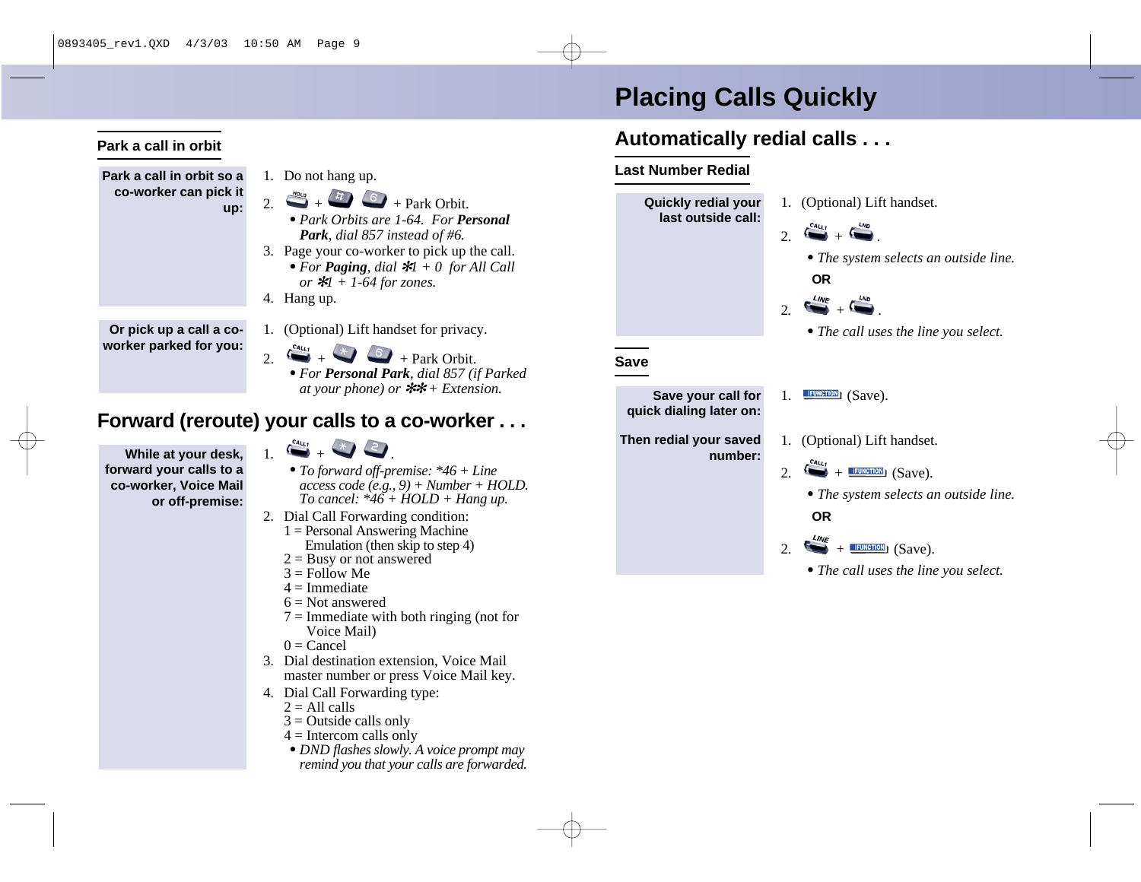# **Placing Calls Quickly**

### **Automatically redial calls . . .**

#### **Last Number Redial**

**Then redial your saved**

**number:**



- 
- 1. (Optional) Lift handset.
- 2.  $\rightarrow$  **FUNCTION** (Save).
	- *• The system selects an outside line.* **OR**
- 2.  $\rightarrow$   $+$   $\overline{$  FUNCTION<sub>1</sub></sub> (Save).
	- *• The call uses the line you select.*

**Park a call in orbit so a co-worker can pick it up:**

**Park a call in orbit**

- 1. Do not hang up.
- 2.  $+$   $+$   $+$   $+$  Park Orbit.
	- *• Park Orbits are 1-64. For Personal Park, dial 857 instead of #6.*
- 3. Page your co-worker to pick up the call. *• For Paging, dial* ✻*1 + 0 for All Call*
	- *or* ✻*1 + 1-64 for zones.*
- 4. Hang up.

**Or pick up a call a coworker parked for you:**

- 1. (Optional) Lift handset for privacy.
- 2.  $+$  +  $+$  Park Orbit.
	- *• For Personal Park, dial 857 (if Parked at your phone) or* ✻✻ *+ Extension.*

#### **Forward (reroute) your calls to a co-worker . . .**

**While at your desk, forward your calls to a co-worker, Voice Mail or off-premise:**

- $\sum_{i=1}^{\text{Ca}_{1i}}$
- *• To forward off-premise: \*46 + Line access code (e.g., 9) + Number + HOLD. To cancel: \*46 + HOLD + Hang up.*
- 2. Dial Call Forwarding condition:
	- $1 =$  Personal Answering Machine Emulation (then skip to step 4)
	- $2 =$ Busy or not answered
	- $3 =$  Follow Me
	- $4 =$ Immediate
	- $6 = Not$  answered
	- $7 =$ Immediate with both ringing (not for Voice Mail)
	- $0 =$ Cancel
- 3. Dial destination extension, Voice Mail master number or press Voice Mail key.
- 4. Dial Call Forwarding type:
	- $2 = All calls$
	- $3$  = Outside calls only
	- $4 =$ Intercom calls only
	- *• DND flashes slowly. A voice prompt may remind you that your calls are forwarded.*

- 
- 
- -
	-
	-
	-
	-
	-
	-